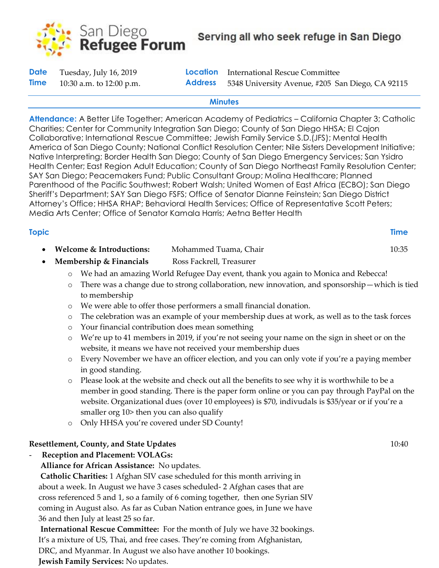

| <b>Date</b> | Tuesday, July 16, 2019     |                | <b>Location</b> International Rescue Committee   |
|-------------|----------------------------|----------------|--------------------------------------------------|
| <b>Time</b> | 10:30 a.m. to $12:00$ p.m. | <b>Address</b> | 5348 University Avenue, #205 San Diego, CA 92115 |

#### **Minutes**

**Attendance:** A Better Life Together; American Academy of Pediatrics – California Chapter 3; Catholic Charities; Center for Community Integration San Diego; County of San Diego HHSA; El Cajon Collaborative; International Rescue Committee; Jewish Family Service S.D.(JFS); Mental Health America of San Diego County; National Conflict Resolution Center; Nile Sisters Development Initiative; Native Interpreting; Border Health San Diego; County of San Diego Emergency Services; San Ysidro Health Center; East Region Adult Education; County of San Diego Northeast Family Resolution Center; SAY San Diego; Peacemakers Fund; Public Consultant Group; Molina Healthcare; Planned Parenthood of the Pacific Southwest; Robert Walsh; United Women of East Africa (ECBO); San Diego Sheriff's Department; SAY San Diego FSFS; Office of Senator Dianne Feinstein; San Diego District Attorney's Office; HHSA RHAP; Behavioral Health Services; Office of Representative Scott Peters; Media Arts Center; Office of Senator Kamala Harris; Aetna Better Health

| <b>Topic</b> |                                                                                     |                          | <b>Time</b> |  |  |
|--------------|-------------------------------------------------------------------------------------|--------------------------|-------------|--|--|
|              | Welcome & Introductions:                                                            | Mohammed Tuama, Chair    | 10:35       |  |  |
|              | Membership & Financials                                                             | Ross Fackrell, Treasurer |             |  |  |
|              | o We had an amazing World Refugee Day event, thank you again to Monica and Rebecca! |                          |             |  |  |

- o There was a change due to strong collaboration, new innovation, and sponsorship—which is tied to membership
- o We were able to offer those performers a small financial donation.
- o The celebration was an example of your membership dues at work, as well as to the task forces
- o Your financial contribution does mean something
- o We're up to 41 members in 2019, if you're not seeing your name on the sign in sheet or on the website, it means we have not received your membership dues
- o Every November we have an officer election, and you can only vote if you're a paying member in good standing.
- o Please look at the website and check out all the benefits to see why it is worthwhile to be a member in good standing. There is the paper form online or you can pay through PayPal on the website. Organizational dues (over 10 employees) is \$70, indivudals is \$35/year or if you're a smaller org 10> then you can also qualify
- o Only HHSA you're covered under SD County!

# **Resettlement, County, and State Updates** 10:40

- **Reception and Placement: VOLAGs:**

**Alliance for African Assistance:** No updates.

**Catholic Charities:** 1 Afghan SIV case scheduled for this month arriving in about a week. In August we have 3 cases scheduled- 2 Afghan cases that are cross referenced 5 and 1, so a family of 6 coming together, then one Syrian SIV coming in August also. As far as Cuban Nation entrance goes, in June we have 36 and then July at least 25 so far.

**International Rescue Committee:** For the month of July we have 32 bookings. It's a mixture of US, Thai, and free cases. They're coming from Afghanistan, DRC, and Myanmar. In August we also have another 10 bookings. **Jewish Family Services:** No updates.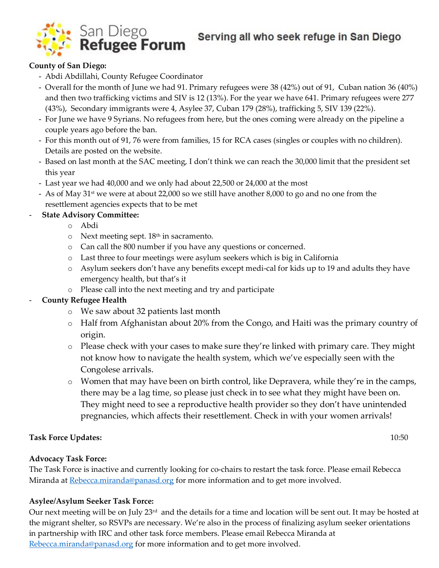

Serving all who seek refuge in San Diego

# **County of San Diego:**

- Abdi Abdillahi, County Refugee Coordinator
- Overall for the month of June we had 91. Primary refugees were 38 (42%) out of 91, Cuban nation 36 (40%) and then two trafficking victims and SIV is 12 (13%). For the year we have 641. Primary refugees were 277 (43%), Secondary immigrants were 4, Asylee 37, Cuban 179 (28%), trafficking 5, SIV 139 (22%).
- For June we have 9 Syrians. No refugees from here, but the ones coming were already on the pipeline a couple years ago before the ban.
- For this month out of 91, 76 were from families, 15 for RCA cases (singles or couples with no children). Details are posted on the website.
- Based on last month at the SAC meeting, I don't think we can reach the 30,000 limit that the president set this year
- Last year we had 40,000 and we only had about 22,500 or 24,000 at the most
- As of May 31<sup>st</sup> we were at about 22,000 so we still have another 8,000 to go and no one from the resettlement agencies expects that to be met

# - **State Advisory Committee:**

- o Abdi
- $\circ$  Next meeting sept. 18<sup>th</sup> in sacramento.
- o Can call the 800 number if you have any questions or concerned.
- o Last three to four meetings were asylum seekers which is big in California
- o Asylum seekers don't have any benefits except medi-cal for kids up to 19 and adults they have emergency health, but that's it
- o Please call into the next meeting and try and participate

# - **County Refugee Health**

- o We saw about 32 patients last month
- o Half from Afghanistan about 20% from the Congo, and Haiti was the primary country of origin.
- o Please check with your cases to make sure they're linked with primary care. They might not know how to navigate the health system, which we've especially seen with the Congolese arrivals.
- o Women that may have been on birth control, like Depravera, while they're in the camps, there may be a lag time, so please just check in to see what they might have been on. They might need to see a reproductive health provider so they don't have unintended pregnancies, which affects their resettlement. Check in with your women arrivals!

# **Task Force Updates:** 10:50

# **Advocacy Task Force:**

The Task Force is inactive and currently looking for co-chairs to restart the task force. Please email Rebecca Miranda at [Rebecca.miranda@panasd.org](mailto:Rebecca.miranda@panasd.org) for more information and to get more involved.

# **Asylee/Asylum Seeker Task Force:**

Our next meeting will be on July 23<sup>rd</sup> and the details for a time and location will be sent out. It may be hosted at the migrant shelter, so RSVPs are necessary. We're also in the process of finalizing asylum seeker orientations in partnership with IRC and other task force members. Please email Rebecca Miranda at [Rebecca.miranda@panasd.org](mailto:Rebecca.miranda@panasd.org) for more information and to get more involved.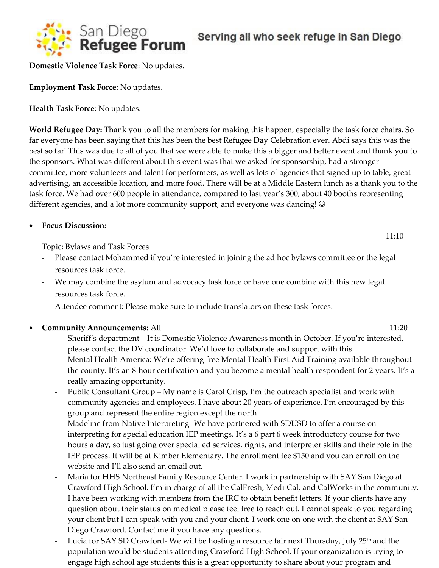

**Domestic Violence Task Force**: No updates.

**Employment Task Force:** No updates.

**Health Task Force**: No updates.

**World Refugee Day:** Thank you to all the members for making this happen, especially the task force chairs. So far everyone has been saying that this has been the best Refugee Day Celebration ever. Abdi says this was the best so far! This was due to all of you that we were able to make this a bigger and better event and thank you to the sponsors. What was different about this event was that we asked for sponsorship, had a stronger committee, more volunteers and talent for performers, as well as lots of agencies that signed up to table, great advertising, an accessible location, and more food. There will be at a Middle Eastern lunch as a thank you to the task force. We had over 600 people in attendance, compared to last year's 300, about 40 booths representing different agencies, and a lot more community support, and everyone was dancing!  $\odot$ 

#### • **Focus Discussion:**

Topic: Bylaws and Task Forces

- Please contact Mohammed if you're interested in joining the ad hoc bylaws committee or the legal resources task force.
- We may combine the asylum and advocacy task force or have one combine with this new legal resources task force.
- Attendee comment: Please make sure to include translators on these task forces.

**Community Announcements: All 11:20** 

- Sheriff's department It is Domestic Violence Awareness month in October. If you're interested, please contact the DV coordinator. We'd love to collaborate and support with this.
- Mental Health America: We're offering free Mental Health First Aid Training available throughout the county. It's an 8-hour certification and you become a mental health respondent for 2 years. It's a really amazing opportunity.
- Public Consultant Group My name is Carol Crisp, I'm the outreach specialist and work with community agencies and employees. I have about 20 years of experience. I'm encouraged by this group and represent the entire region except the north.
- Madeline from Native Interpreting- We have partnered with SDUSD to offer a course on interpreting for special education IEP meetings. It's a 6 part 6 week introductory course for two hours a day, so just going over special ed services, rights, and interpreter skills and their role in the IEP process. It will be at Kimber Elementary. The enrollment fee \$150 and you can enroll on the website and I'll also send an email out.
- Maria for HHS Northeast Family Resource Center. I work in partnership with SAY San Diego at Crawford High School. I'm in charge of all the CalFresh, Medi-Cal, and CalWorks in the community. I have been working with members from the IRC to obtain benefit letters. If your clients have any question about their status on medical please feel free to reach out. I cannot speak to you regarding your client but I can speak with you and your client. I work one on one with the client at SAY San Diego Crawford. Contact me if you have any questions.
- Lucia for SAY SD Crawford- We will be hosting a resource fair next Thursday, July 25<sup>th</sup> and the population would be students attending Crawford High School. If your organization is trying to engage high school age students this is a great opportunity to share about your program and

11:10